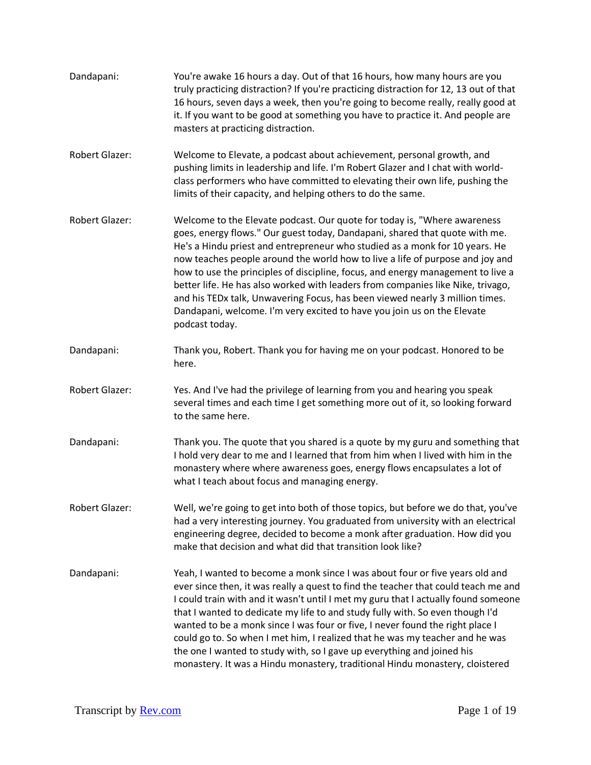| Dandapani:            | You're awake 16 hours a day. Out of that 16 hours, how many hours are you<br>truly practicing distraction? If you're practicing distraction for 12, 13 out of that<br>16 hours, seven days a week, then you're going to become really, really good at<br>it. If you want to be good at something you have to practice it. And people are<br>masters at practicing distraction.                                                                                                                                                                                                                                                                                              |
|-----------------------|-----------------------------------------------------------------------------------------------------------------------------------------------------------------------------------------------------------------------------------------------------------------------------------------------------------------------------------------------------------------------------------------------------------------------------------------------------------------------------------------------------------------------------------------------------------------------------------------------------------------------------------------------------------------------------|
| Robert Glazer:        | Welcome to Elevate, a podcast about achievement, personal growth, and<br>pushing limits in leadership and life. I'm Robert Glazer and I chat with world-<br>class performers who have committed to elevating their own life, pushing the<br>limits of their capacity, and helping others to do the same.                                                                                                                                                                                                                                                                                                                                                                    |
| <b>Robert Glazer:</b> | Welcome to the Elevate podcast. Our quote for today is, "Where awareness"<br>goes, energy flows." Our guest today, Dandapani, shared that quote with me.<br>He's a Hindu priest and entrepreneur who studied as a monk for 10 years. He<br>now teaches people around the world how to live a life of purpose and joy and<br>how to use the principles of discipline, focus, and energy management to live a<br>better life. He has also worked with leaders from companies like Nike, trivago,<br>and his TEDx talk, Unwavering Focus, has been viewed nearly 3 million times.<br>Dandapani, welcome. I'm very excited to have you join us on the Elevate<br>podcast today. |
| Dandapani:            | Thank you, Robert. Thank you for having me on your podcast. Honored to be<br>here.                                                                                                                                                                                                                                                                                                                                                                                                                                                                                                                                                                                          |
| <b>Robert Glazer:</b> | Yes. And I've had the privilege of learning from you and hearing you speak<br>several times and each time I get something more out of it, so looking forward<br>to the same here.                                                                                                                                                                                                                                                                                                                                                                                                                                                                                           |
| Dandapani:            | Thank you. The quote that you shared is a quote by my guru and something that<br>I hold very dear to me and I learned that from him when I lived with him in the<br>monastery where where awareness goes, energy flows encapsulates a lot of<br>what I teach about focus and managing energy.                                                                                                                                                                                                                                                                                                                                                                               |
| Robert Glazer:        | Well, we're going to get into both of those topics, but before we do that, you've<br>had a very interesting journey. You graduated from university with an electrical<br>engineering degree, decided to become a monk after graduation. How did you<br>make that decision and what did that transition look like?                                                                                                                                                                                                                                                                                                                                                           |
| Dandapani:            | Yeah, I wanted to become a monk since I was about four or five years old and<br>ever since then, it was really a quest to find the teacher that could teach me and<br>I could train with and it wasn't until I met my guru that I actually found someone<br>that I wanted to dedicate my life to and study fully with. So even though I'd<br>wanted to be a monk since I was four or five, I never found the right place I<br>could go to. So when I met him, I realized that he was my teacher and he was<br>the one I wanted to study with, so I gave up everything and joined his<br>monastery. It was a Hindu monastery, traditional Hindu monastery, cloistered        |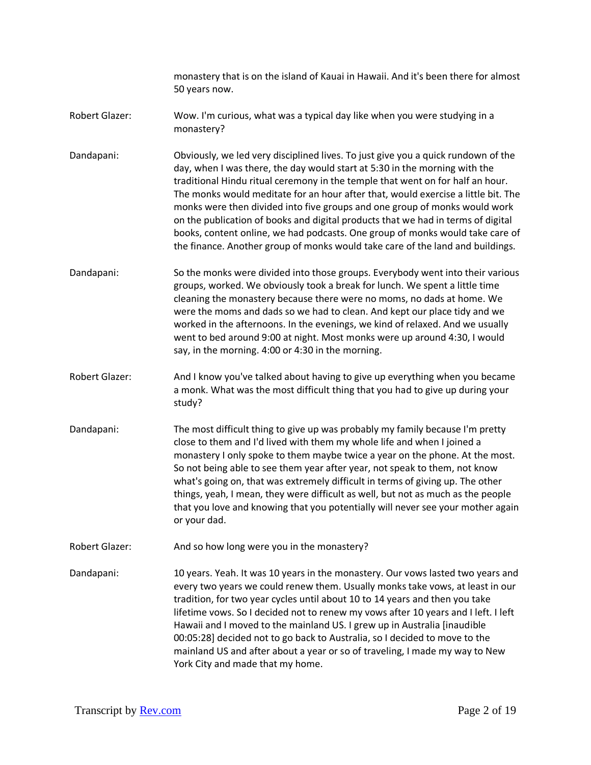monastery that is on the island of Kauai in Hawaii. And it's been there for almost 50 years now.

- Robert Glazer: Wow. I'm curious, what was a typical day like when you were studying in a monastery?
- Dandapani: Obviously, we led very disciplined lives. To just give you a quick rundown of the day, when I was there, the day would start at 5:30 in the morning with the traditional Hindu ritual ceremony in the temple that went on for half an hour. The monks would meditate for an hour after that, would exercise a little bit. The monks were then divided into five groups and one group of monks would work on the publication of books and digital products that we had in terms of digital books, content online, we had podcasts. One group of monks would take care of the finance. Another group of monks would take care of the land and buildings.
- Dandapani: So the monks were divided into those groups. Everybody went into their various groups, worked. We obviously took a break for lunch. We spent a little time cleaning the monastery because there were no moms, no dads at home. We were the moms and dads so we had to clean. And kept our place tidy and we worked in the afternoons. In the evenings, we kind of relaxed. And we usually went to bed around 9:00 at night. Most monks were up around 4:30, I would say, in the morning. 4:00 or 4:30 in the morning.
- Robert Glazer: And I know you've talked about having to give up everything when you became a monk. What was the most difficult thing that you had to give up during your study?
- Dandapani: The most difficult thing to give up was probably my family because I'm pretty close to them and I'd lived with them my whole life and when I joined a monastery I only spoke to them maybe twice a year on the phone. At the most. So not being able to see them year after year, not speak to them, not know what's going on, that was extremely difficult in terms of giving up. The other things, yeah, I mean, they were difficult as well, but not as much as the people that you love and knowing that you potentially will never see your mother again or your dad.
- Robert Glazer: And so how long were you in the monastery?

Dandapani: 10 years. Yeah. It was 10 years in the monastery. Our vows lasted two years and every two years we could renew them. Usually monks take vows, at least in our tradition, for two year cycles until about 10 to 14 years and then you take lifetime vows. So I decided not to renew my vows after 10 years and I left. I left Hawaii and I moved to the mainland US. I grew up in Australia [inaudible 00:05:28] decided not to go back to Australia, so I decided to move to the mainland US and after about a year or so of traveling, I made my way to New York City and made that my home.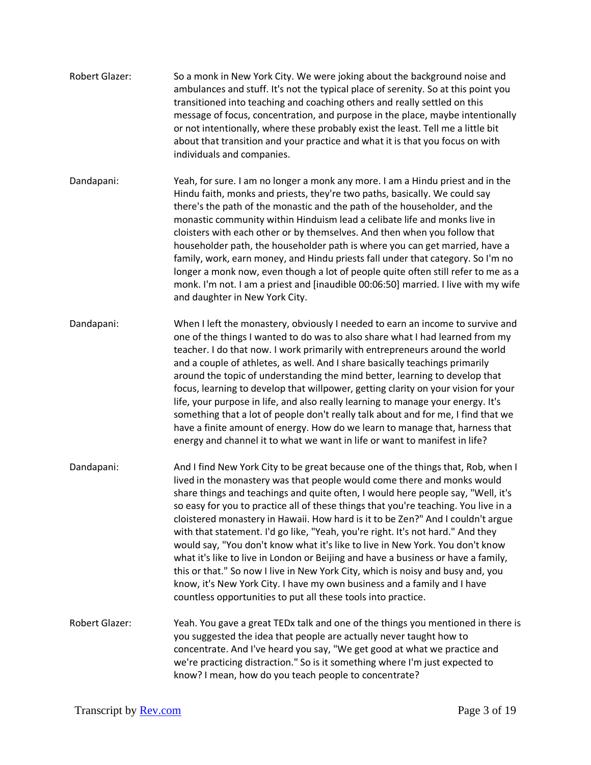- Robert Glazer: So a monk in New York City. We were joking about the background noise and ambulances and stuff. It's not the typical place of serenity. So at this point you transitioned into teaching and coaching others and really settled on this message of focus, concentration, and purpose in the place, maybe intentionally or not intentionally, where these probably exist the least. Tell me a little bit about that transition and your practice and what it is that you focus on with individuals and companies. Dandapani: Yeah, for sure. I am no longer a monk any more. I am a Hindu priest and in the
- Hindu faith, monks and priests, they're two paths, basically. We could say there's the path of the monastic and the path of the householder, and the monastic community within Hinduism lead a celibate life and monks live in cloisters with each other or by themselves. And then when you follow that householder path, the householder path is where you can get married, have a family, work, earn money, and Hindu priests fall under that category. So I'm no longer a monk now, even though a lot of people quite often still refer to me as a monk. I'm not. I am a priest and [inaudible 00:06:50] married. I live with my wife and daughter in New York City.
- Dandapani: When I left the monastery, obviously I needed to earn an income to survive and one of the things I wanted to do was to also share what I had learned from my teacher. I do that now. I work primarily with entrepreneurs around the world and a couple of athletes, as well. And I share basically teachings primarily around the topic of understanding the mind better, learning to develop that focus, learning to develop that willpower, getting clarity on your vision for your life, your purpose in life, and also really learning to manage your energy. It's something that a lot of people don't really talk about and for me, I find that we have a finite amount of energy. How do we learn to manage that, harness that energy and channel it to what we want in life or want to manifest in life?
- Dandapani: And I find New York City to be great because one of the things that, Rob, when I lived in the monastery was that people would come there and monks would share things and teachings and quite often, I would here people say, "Well, it's so easy for you to practice all of these things that you're teaching. You live in a cloistered monastery in Hawaii. How hard is it to be Zen?" And I couldn't argue with that statement. I'd go like, "Yeah, you're right. It's not hard." And they would say, "You don't know what it's like to live in New York. You don't know what it's like to live in London or Beijing and have a business or have a family, this or that." So now I live in New York City, which is noisy and busy and, you know, it's New York City. I have my own business and a family and I have countless opportunities to put all these tools into practice.
- Robert Glazer: Yeah. You gave a great TEDx talk and one of the things you mentioned in there is you suggested the idea that people are actually never taught how to concentrate. And I've heard you say, "We get good at what we practice and we're practicing distraction." So is it something where I'm just expected to know? I mean, how do you teach people to concentrate?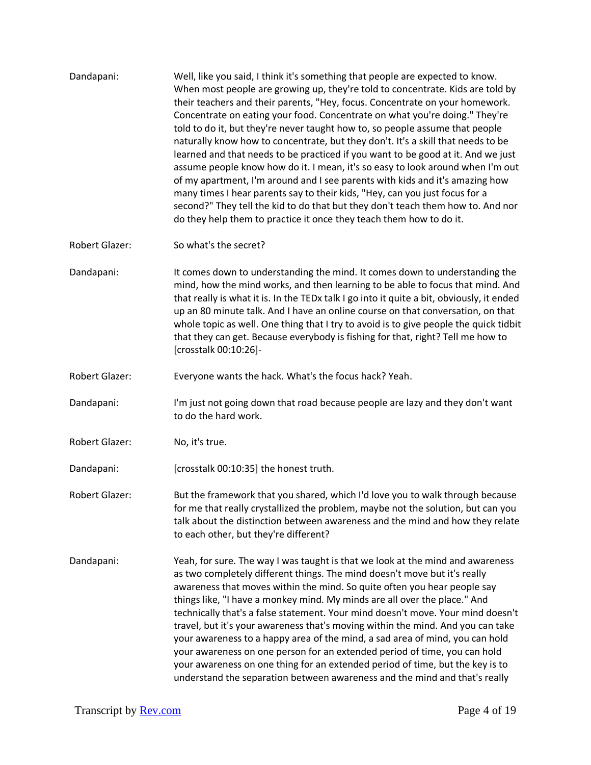Dandapani: Well, like you said, I think it's something that people are expected to know. When most people are growing up, they're told to concentrate. Kids are told by their teachers and their parents, "Hey, focus. Concentrate on your homework. Concentrate on eating your food. Concentrate on what you're doing." They're told to do it, but they're never taught how to, so people assume that people naturally know how to concentrate, but they don't. It's a skill that needs to be learned and that needs to be practiced if you want to be good at it. And we just assume people know how do it. I mean, it's so easy to look around when I'm out of my apartment, I'm around and I see parents with kids and it's amazing how many times I hear parents say to their kids, "Hey, can you just focus for a second?" They tell the kid to do that but they don't teach them how to. And nor do they help them to practice it once they teach them how to do it. Robert Glazer: So what's the secret? Dandapani: It comes down to understanding the mind. It comes down to understanding the mind, how the mind works, and then learning to be able to focus that mind. And that really is what it is. In the TEDx talk I go into it quite a bit, obviously, it ended up an 80 minute talk. And I have an online course on that conversation, on that whole topic as well. One thing that I try to avoid is to give people the quick tidbit that they can get. Because everybody is fishing for that, right? Tell me how to [crosstalk 00:10:26]- Robert Glazer: Everyone wants the hack. What's the focus hack? Yeah. Dandapani: I'm just not going down that road because people are lazy and they don't want to do the hard work. Robert Glazer: No, it's true. Dandapani: [crosstalk 00:10:35] the honest truth. Robert Glazer: But the framework that you shared, which I'd love you to walk through because for me that really crystallized the problem, maybe not the solution, but can you talk about the distinction between awareness and the mind and how they relate to each other, but they're different? Dandapani: Yeah, for sure. The way I was taught is that we look at the mind and awareness as two completely different things. The mind doesn't move but it's really awareness that moves within the mind. So quite often you hear people say things like, "I have a monkey mind. My minds are all over the place." And technically that's a false statement. Your mind doesn't move. Your mind doesn't travel, but it's your awareness that's moving within the mind. And you can take your awareness to a happy area of the mind, a sad area of mind, you can hold

> your awareness on one person for an extended period of time, you can hold your awareness on one thing for an extended period of time, but the key is to understand the separation between awareness and the mind and that's really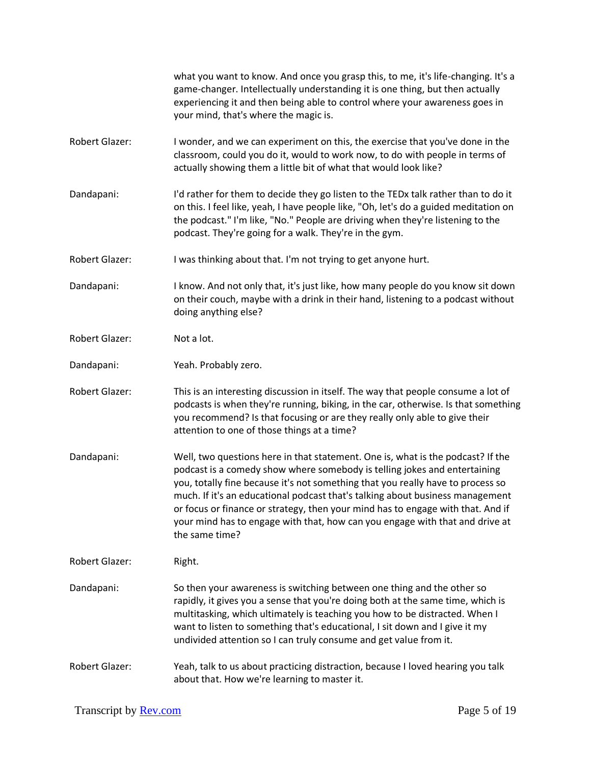|                       | what you want to know. And once you grasp this, to me, it's life-changing. It's a<br>game-changer. Intellectually understanding it is one thing, but then actually<br>experiencing it and then being able to control where your awareness goes in<br>your mind, that's where the magic is.                                                                                                                                                                                                                            |
|-----------------------|-----------------------------------------------------------------------------------------------------------------------------------------------------------------------------------------------------------------------------------------------------------------------------------------------------------------------------------------------------------------------------------------------------------------------------------------------------------------------------------------------------------------------|
| Robert Glazer:        | I wonder, and we can experiment on this, the exercise that you've done in the<br>classroom, could you do it, would to work now, to do with people in terms of<br>actually showing them a little bit of what that would look like?                                                                                                                                                                                                                                                                                     |
| Dandapani:            | I'd rather for them to decide they go listen to the TEDx talk rather than to do it<br>on this. I feel like, yeah, I have people like, "Oh, let's do a guided meditation on<br>the podcast." I'm like, "No." People are driving when they're listening to the<br>podcast. They're going for a walk. They're in the gym.                                                                                                                                                                                                |
| <b>Robert Glazer:</b> | I was thinking about that. I'm not trying to get anyone hurt.                                                                                                                                                                                                                                                                                                                                                                                                                                                         |
| Dandapani:            | I know. And not only that, it's just like, how many people do you know sit down<br>on their couch, maybe with a drink in their hand, listening to a podcast without<br>doing anything else?                                                                                                                                                                                                                                                                                                                           |
| Robert Glazer:        | Not a lot.                                                                                                                                                                                                                                                                                                                                                                                                                                                                                                            |
| Dandapani:            | Yeah. Probably zero.                                                                                                                                                                                                                                                                                                                                                                                                                                                                                                  |
| Robert Glazer:        | This is an interesting discussion in itself. The way that people consume a lot of<br>podcasts is when they're running, biking, in the car, otherwise. Is that something<br>you recommend? Is that focusing or are they really only able to give their<br>attention to one of those things at a time?                                                                                                                                                                                                                  |
| Dandapani:            | Well, two questions here in that statement. One is, what is the podcast? If the<br>podcast is a comedy show where somebody is telling jokes and entertaining<br>you, totally fine because it's not something that you really have to process so<br>much. If it's an educational podcast that's talking about business management<br>or focus or finance or strategy, then your mind has to engage with that. And if<br>your mind has to engage with that, how can you engage with that and drive at<br>the same time? |
| <b>Robert Glazer:</b> | Right.                                                                                                                                                                                                                                                                                                                                                                                                                                                                                                                |
| Dandapani:            | So then your awareness is switching between one thing and the other so<br>rapidly, it gives you a sense that you're doing both at the same time, which is<br>multitasking, which ultimately is teaching you how to be distracted. When I<br>want to listen to something that's educational, I sit down and I give it my<br>undivided attention so I can truly consume and get value from it.                                                                                                                          |
| <b>Robert Glazer:</b> | Yeah, talk to us about practicing distraction, because I loved hearing you talk<br>about that. How we're learning to master it.                                                                                                                                                                                                                                                                                                                                                                                       |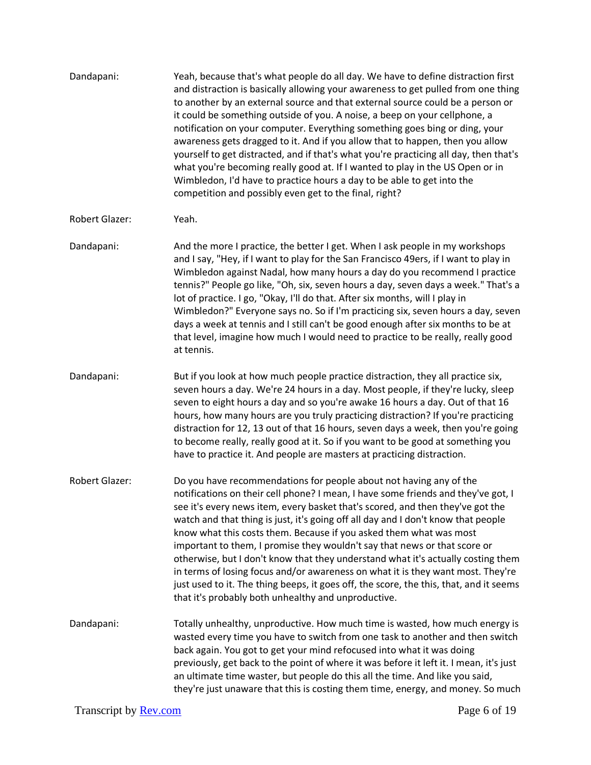| Dandapani:                   | Yeah, because that's what people do all day. We have to define distraction first<br>and distraction is basically allowing your awareness to get pulled from one thing<br>to another by an external source and that external source could be a person or<br>it could be something outside of you. A noise, a beep on your cellphone, a<br>notification on your computer. Everything something goes bing or ding, your<br>awareness gets dragged to it. And if you allow that to happen, then you allow<br>yourself to get distracted, and if that's what you're practicing all day, then that's<br>what you're becoming really good at. If I wanted to play in the US Open or in<br>Wimbledon, I'd have to practice hours a day to be able to get into the<br>competition and possibly even get to the final, right? |  |
|------------------------------|---------------------------------------------------------------------------------------------------------------------------------------------------------------------------------------------------------------------------------------------------------------------------------------------------------------------------------------------------------------------------------------------------------------------------------------------------------------------------------------------------------------------------------------------------------------------------------------------------------------------------------------------------------------------------------------------------------------------------------------------------------------------------------------------------------------------|--|
| <b>Robert Glazer:</b>        | Yeah.                                                                                                                                                                                                                                                                                                                                                                                                                                                                                                                                                                                                                                                                                                                                                                                                               |  |
| Dandapani:                   | And the more I practice, the better I get. When I ask people in my workshops<br>and I say, "Hey, if I want to play for the San Francisco 49ers, if I want to play in<br>Wimbledon against Nadal, how many hours a day do you recommend I practice<br>tennis?" People go like, "Oh, six, seven hours a day, seven days a week." That's a<br>lot of practice. I go, "Okay, I'll do that. After six months, will I play in<br>Wimbledon?" Everyone says no. So if I'm practicing six, seven hours a day, seven<br>days a week at tennis and I still can't be good enough after six months to be at<br>that level, imagine how much I would need to practice to be really, really good<br>at tennis.                                                                                                                    |  |
| Dandapani:                   | But if you look at how much people practice distraction, they all practice six,<br>seven hours a day. We're 24 hours in a day. Most people, if they're lucky, sleep<br>seven to eight hours a day and so you're awake 16 hours a day. Out of that 16<br>hours, how many hours are you truly practicing distraction? If you're practicing<br>distraction for 12, 13 out of that 16 hours, seven days a week, then you're going<br>to become really, really good at it. So if you want to be good at something you<br>have to practice it. And people are masters at practicing distraction.                                                                                                                                                                                                                          |  |
| Robert Glazer:               | Do you have recommendations for people about not having any of the<br>notifications on their cell phone? I mean, I have some friends and they've got, I<br>see it's every news item, every basket that's scored, and then they've got the<br>watch and that thing is just, it's going off all day and I don't know that people<br>know what this costs them. Because if you asked them what was most<br>important to them, I promise they wouldn't say that news or that score or<br>otherwise, but I don't know that they understand what it's actually costing them<br>in terms of losing focus and/or awareness on what it is they want most. They're<br>just used to it. The thing beeps, it goes off, the score, the this, that, and it seems<br>that it's probably both unhealthy and unproductive.           |  |
| Dandapani:                   | Totally unhealthy, unproductive. How much time is wasted, how much energy is<br>wasted every time you have to switch from one task to another and then switch<br>back again. You got to get your mind refocused into what it was doing<br>previously, get back to the point of where it was before it left it. I mean, it's just<br>an ultimate time waster, but people do this all the time. And like you said,<br>they're just unaware that this is costing them time, energy, and money. So much                                                                                                                                                                                                                                                                                                                 |  |
| Transcript by <b>Rev.com</b> | Page 6 of 19                                                                                                                                                                                                                                                                                                                                                                                                                                                                                                                                                                                                                                                                                                                                                                                                        |  |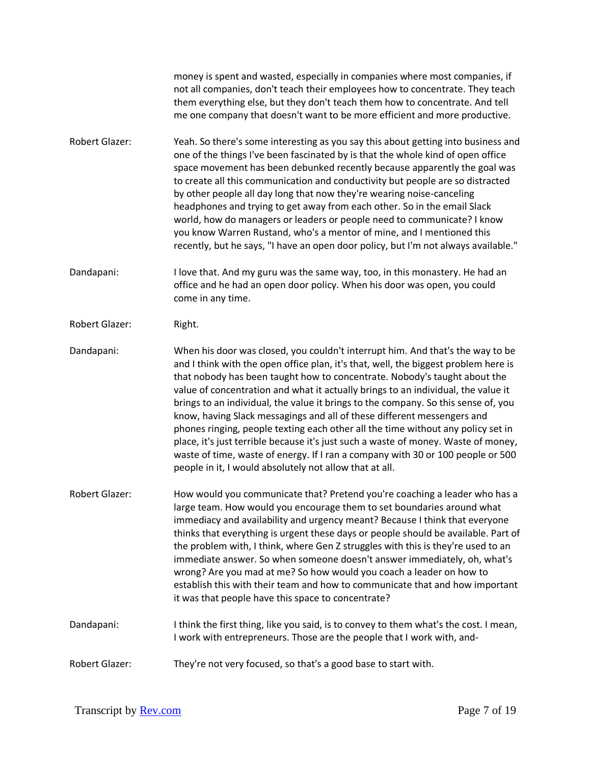money is spent and wasted, especially in companies where most companies, if not all companies, don't teach their employees how to concentrate. They teach them everything else, but they don't teach them how to concentrate. And tell me one company that doesn't want to be more efficient and more productive.

Robert Glazer: Yeah. So there's some interesting as you say this about getting into business and one of the things I've been fascinated by is that the whole kind of open office space movement has been debunked recently because apparently the goal was to create all this communication and conductivity but people are so distracted by other people all day long that now they're wearing noise-canceling headphones and trying to get away from each other. So in the email Slack world, how do managers or leaders or people need to communicate? I know you know Warren Rustand, who's a mentor of mine, and I mentioned this recently, but he says, "I have an open door policy, but I'm not always available."

Dandapani: I love that. And my guru was the same way, too, in this monastery. He had an office and he had an open door policy. When his door was open, you could come in any time.

- Robert Glazer: Right.
- Dandapani: When his door was closed, you couldn't interrupt him. And that's the way to be and I think with the open office plan, it's that, well, the biggest problem here is that nobody has been taught how to concentrate. Nobody's taught about the value of concentration and what it actually brings to an individual, the value it brings to an individual, the value it brings to the company. So this sense of, you know, having Slack messagings and all of these different messengers and phones ringing, people texting each other all the time without any policy set in place, it's just terrible because it's just such a waste of money. Waste of money, waste of time, waste of energy. If I ran a company with 30 or 100 people or 500 people in it, I would absolutely not allow that at all.
- Robert Glazer: How would you communicate that? Pretend you're coaching a leader who has a large team. How would you encourage them to set boundaries around what immediacy and availability and urgency meant? Because I think that everyone thinks that everything is urgent these days or people should be available. Part of the problem with, I think, where Gen Z struggles with this is they're used to an immediate answer. So when someone doesn't answer immediately, oh, what's wrong? Are you mad at me? So how would you coach a leader on how to establish this with their team and how to communicate that and how important it was that people have this space to concentrate?
- Dandapani: I think the first thing, like you said, is to convey to them what's the cost. I mean, I work with entrepreneurs. Those are the people that I work with, and-
- Robert Glazer: They're not very focused, so that's a good base to start with.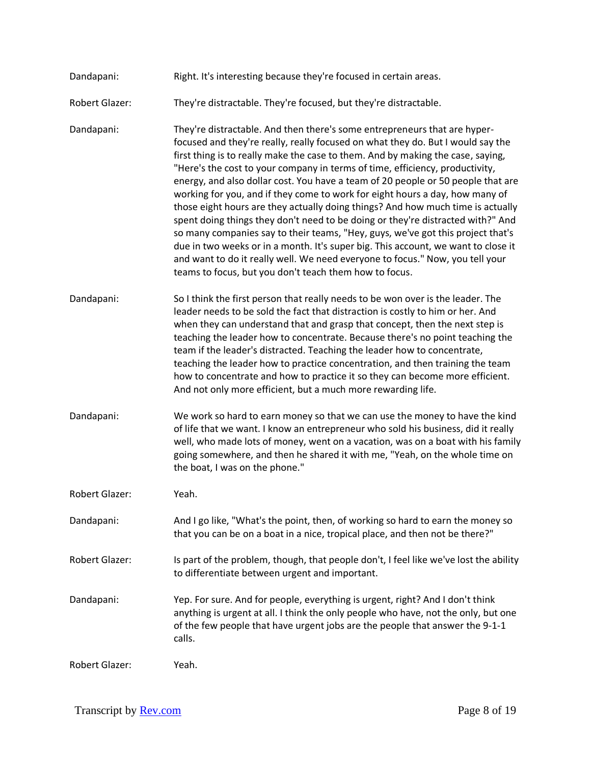| Dandapani: | Right. It's interesting because they're focused in certain areas. |
|------------|-------------------------------------------------------------------|
|------------|-------------------------------------------------------------------|

Robert Glazer: They're distractable. They're focused, but they're distractable.

Dandapani: They're distractable. And then there's some entrepreneurs that are hyperfocused and they're really, really focused on what they do. But I would say the first thing is to really make the case to them. And by making the case, saying, "Here's the cost to your company in terms of time, efficiency, productivity, energy, and also dollar cost. You have a team of 20 people or 50 people that are working for you, and if they come to work for eight hours a day, how many of those eight hours are they actually doing things? And how much time is actually spent doing things they don't need to be doing or they're distracted with?" And so many companies say to their teams, "Hey, guys, we've got this project that's due in two weeks or in a month. It's super big. This account, we want to close it and want to do it really well. We need everyone to focus." Now, you tell your teams to focus, but you don't teach them how to focus.

- Dandapani: So I think the first person that really needs to be won over is the leader. The leader needs to be sold the fact that distraction is costly to him or her. And when they can understand that and grasp that concept, then the next step is teaching the leader how to concentrate. Because there's no point teaching the team if the leader's distracted. Teaching the leader how to concentrate, teaching the leader how to practice concentration, and then training the team how to concentrate and how to practice it so they can become more efficient. And not only more efficient, but a much more rewarding life.
- Dandapani: We work so hard to earn money so that we can use the money to have the kind of life that we want. I know an entrepreneur who sold his business, did it really well, who made lots of money, went on a vacation, was on a boat with his family going somewhere, and then he shared it with me, "Yeah, on the whole time on the boat, I was on the phone."
- Robert Glazer: Yeah.
- Dandapani: And I go like, "What's the point, then, of working so hard to earn the money so that you can be on a boat in a nice, tropical place, and then not be there?"
- Robert Glazer: Is part of the problem, though, that people don't, I feel like we've lost the ability to differentiate between urgent and important.
- Dandapani: Yep. For sure. And for people, everything is urgent, right? And I don't think anything is urgent at all. I think the only people who have, not the only, but one of the few people that have urgent jobs are the people that answer the 9-1-1 calls.

Robert Glazer: Yeah.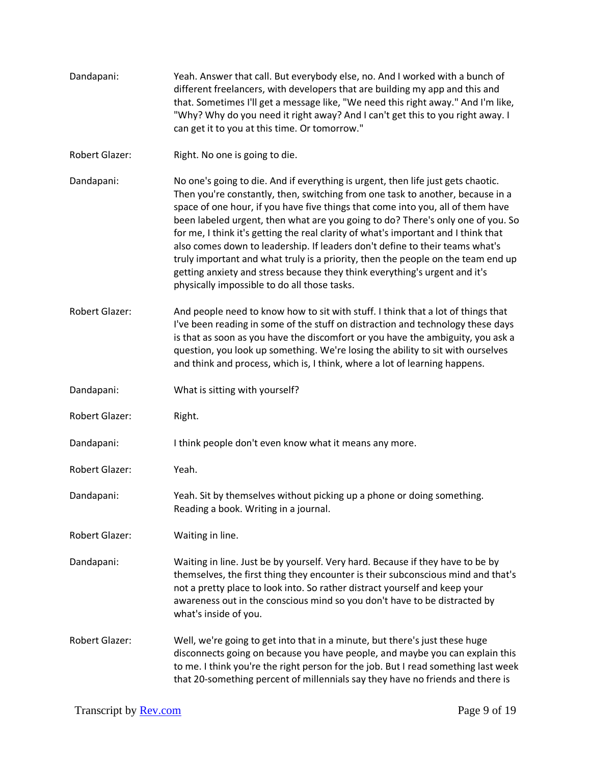| Dandapani:            | Yeah. Answer that call. But everybody else, no. And I worked with a bunch of<br>different freelancers, with developers that are building my app and this and<br>that. Sometimes I'll get a message like, "We need this right away." And I'm like,<br>"Why? Why do you need it right away? And I can't get this to you right away. I<br>can get it to you at this time. Or tomorrow."                                                                                                                                                                                                                                                                                                                                             |
|-----------------------|----------------------------------------------------------------------------------------------------------------------------------------------------------------------------------------------------------------------------------------------------------------------------------------------------------------------------------------------------------------------------------------------------------------------------------------------------------------------------------------------------------------------------------------------------------------------------------------------------------------------------------------------------------------------------------------------------------------------------------|
| <b>Robert Glazer:</b> | Right. No one is going to die.                                                                                                                                                                                                                                                                                                                                                                                                                                                                                                                                                                                                                                                                                                   |
| Dandapani:            | No one's going to die. And if everything is urgent, then life just gets chaotic.<br>Then you're constantly, then, switching from one task to another, because in a<br>space of one hour, if you have five things that come into you, all of them have<br>been labeled urgent, then what are you going to do? There's only one of you. So<br>for me, I think it's getting the real clarity of what's important and I think that<br>also comes down to leadership. If leaders don't define to their teams what's<br>truly important and what truly is a priority, then the people on the team end up<br>getting anxiety and stress because they think everything's urgent and it's<br>physically impossible to do all those tasks. |
| Robert Glazer:        | And people need to know how to sit with stuff. I think that a lot of things that<br>I've been reading in some of the stuff on distraction and technology these days<br>is that as soon as you have the discomfort or you have the ambiguity, you ask a<br>question, you look up something. We're losing the ability to sit with ourselves<br>and think and process, which is, I think, where a lot of learning happens.                                                                                                                                                                                                                                                                                                          |
| Dandapani:            | What is sitting with yourself?                                                                                                                                                                                                                                                                                                                                                                                                                                                                                                                                                                                                                                                                                                   |
| Robert Glazer:        | Right.                                                                                                                                                                                                                                                                                                                                                                                                                                                                                                                                                                                                                                                                                                                           |
| Dandapani:            | I think people don't even know what it means any more.                                                                                                                                                                                                                                                                                                                                                                                                                                                                                                                                                                                                                                                                           |
| Robert Glazer:        | Yeah.                                                                                                                                                                                                                                                                                                                                                                                                                                                                                                                                                                                                                                                                                                                            |
| Dandapani:            | Yeah. Sit by themselves without picking up a phone or doing something.<br>Reading a book. Writing in a journal.                                                                                                                                                                                                                                                                                                                                                                                                                                                                                                                                                                                                                  |
| Robert Glazer:        | Waiting in line.                                                                                                                                                                                                                                                                                                                                                                                                                                                                                                                                                                                                                                                                                                                 |
| Dandapani:            | Waiting in line. Just be by yourself. Very hard. Because if they have to be by<br>themselves, the first thing they encounter is their subconscious mind and that's<br>not a pretty place to look into. So rather distract yourself and keep your<br>awareness out in the conscious mind so you don't have to be distracted by<br>what's inside of you.                                                                                                                                                                                                                                                                                                                                                                           |
| Robert Glazer:        | Well, we're going to get into that in a minute, but there's just these huge<br>disconnects going on because you have people, and maybe you can explain this<br>to me. I think you're the right person for the job. But I read something last week<br>that 20-something percent of millennials say they have no friends and there is                                                                                                                                                                                                                                                                                                                                                                                              |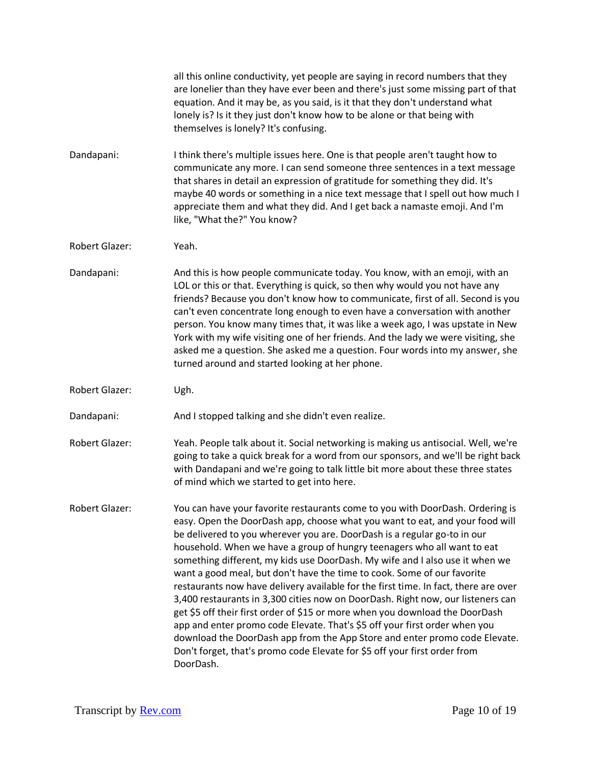all this online conductivity, yet people are saying in record numbers that they are lonelier than they have ever been and there's just some missing part of that equation. And it may be, as you said, is it that they don't understand what lonely is? Is it they just don't know how to be alone or that being with themselves is lonely? It's confusing. Dandapani: I think there's multiple issues here. One is that people aren't taught how to communicate any more. I can send someone three sentences in a text message that shares in detail an expression of gratitude for something they did. It's maybe 40 words or something in a nice text message that I spell out how much I appreciate them and what they did. And I get back a namaste emoji. And I'm like, "What the?" You know? Robert Glazer: Yeah. Dandapani: And this is how people communicate today. You know, with an emoji, with an LOL or this or that. Everything is quick, so then why would you not have any friends? Because you don't know how to communicate, first of all. Second is you can't even concentrate long enough to even have a conversation with another person. You know many times that, it was like a week ago, I was upstate in New York with my wife visiting one of her friends. And the lady we were visiting, she asked me a question. She asked me a question. Four words into my answer, she turned around and started looking at her phone. Robert Glazer: Ugh. Dandapani: And I stopped talking and she didn't even realize. Robert Glazer: Yeah. People talk about it. Social networking is making us antisocial. Well, we're going to take a quick break for a word from our sponsors, and we'll be right back with Dandapani and we're going to talk little bit more about these three states of mind which we started to get into here. Robert Glazer: You can have your favorite restaurants come to you with DoorDash. Ordering is easy. Open the DoorDash app, choose what you want to eat, and your food will be delivered to you wherever you are. DoorDash is a regular go-to in our household. When we have a group of hungry teenagers who all want to eat something different, my kids use DoorDash. My wife and I also use it when we want a good meal, but don't have the time to cook. Some of our favorite restaurants now have delivery available for the first time. In fact, there are over 3,400 restaurants in 3,300 cities now on DoorDash. Right now, our listeners can get \$5 off their first order of \$15 or more when you download the DoorDash app and enter promo code Elevate. That's \$5 off your first order when you download the DoorDash app from the App Store and enter promo code Elevate. Don't forget, that's promo code Elevate for \$5 off your first order from DoorDash.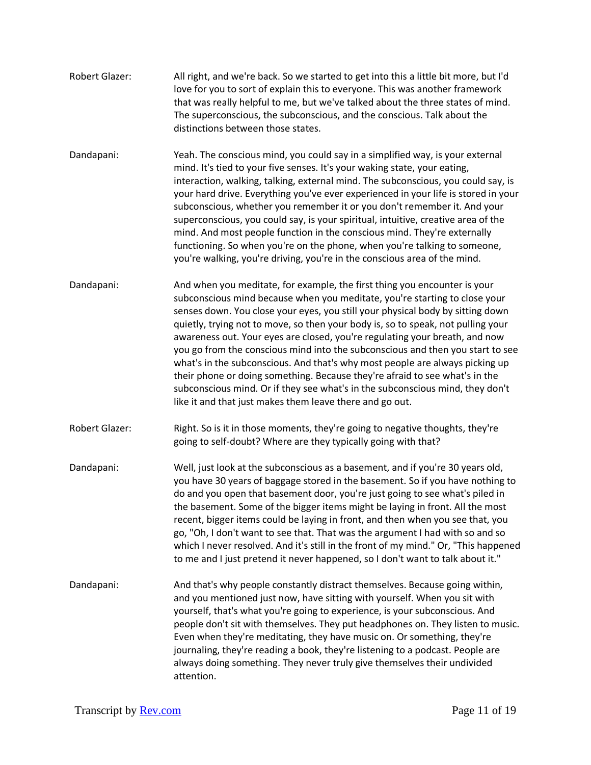- Robert Glazer: All right, and we're back. So we started to get into this a little bit more, but I'd love for you to sort of explain this to everyone. This was another framework that was really helpful to me, but we've talked about the three states of mind. The superconscious, the subconscious, and the conscious. Talk about the distinctions between those states.
- Dandapani: Yeah. The conscious mind, you could say in a simplified way, is your external mind. It's tied to your five senses. It's your waking state, your eating, interaction, walking, talking, external mind. The subconscious, you could say, is your hard drive. Everything you've ever experienced in your life is stored in your subconscious, whether you remember it or you don't remember it. And your superconscious, you could say, is your spiritual, intuitive, creative area of the mind. And most people function in the conscious mind. They're externally functioning. So when you're on the phone, when you're talking to someone, you're walking, you're driving, you're in the conscious area of the mind.
- Dandapani: And when you meditate, for example, the first thing you encounter is your subconscious mind because when you meditate, you're starting to close your senses down. You close your eyes, you still your physical body by sitting down quietly, trying not to move, so then your body is, so to speak, not pulling your awareness out. Your eyes are closed, you're regulating your breath, and now you go from the conscious mind into the subconscious and then you start to see what's in the subconscious. And that's why most people are always picking up their phone or doing something. Because they're afraid to see what's in the subconscious mind. Or if they see what's in the subconscious mind, they don't like it and that just makes them leave there and go out.
- Robert Glazer: Right. So is it in those moments, they're going to negative thoughts, they're going to self-doubt? Where are they typically going with that?
- Dandapani: Well, just look at the subconscious as a basement, and if you're 30 years old, you have 30 years of baggage stored in the basement. So if you have nothing to do and you open that basement door, you're just going to see what's piled in the basement. Some of the bigger items might be laying in front. All the most recent, bigger items could be laying in front, and then when you see that, you go, "Oh, I don't want to see that. That was the argument I had with so and so which I never resolved. And it's still in the front of my mind." Or, "This happened to me and I just pretend it never happened, so I don't want to talk about it."
- Dandapani: And that's why people constantly distract themselves. Because going within, and you mentioned just now, have sitting with yourself. When you sit with yourself, that's what you're going to experience, is your subconscious. And people don't sit with themselves. They put headphones on. They listen to music. Even when they're meditating, they have music on. Or something, they're journaling, they're reading a book, they're listening to a podcast. People are always doing something. They never truly give themselves their undivided attention.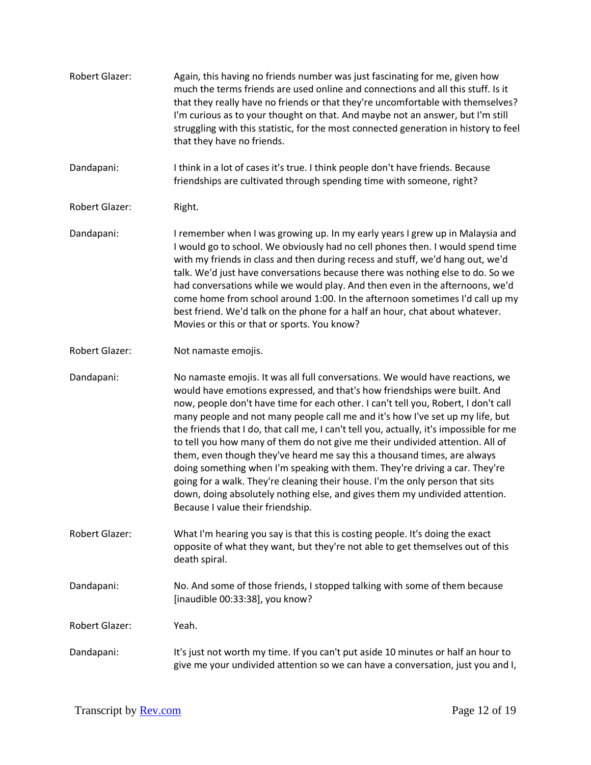| <b>Robert Glazer:</b> | Again, this having no friends number was just fascinating for me, given how<br>much the terms friends are used online and connections and all this stuff. Is it<br>that they really have no friends or that they're uncomfortable with themselves?<br>I'm curious as to your thought on that. And maybe not an answer, but I'm still<br>struggling with this statistic, for the most connected generation in history to feel<br>that they have no friends.                                                                                                                                                                                                                                                                                                                                                                                                                    |
|-----------------------|-------------------------------------------------------------------------------------------------------------------------------------------------------------------------------------------------------------------------------------------------------------------------------------------------------------------------------------------------------------------------------------------------------------------------------------------------------------------------------------------------------------------------------------------------------------------------------------------------------------------------------------------------------------------------------------------------------------------------------------------------------------------------------------------------------------------------------------------------------------------------------|
| Dandapani:            | I think in a lot of cases it's true. I think people don't have friends. Because<br>friendships are cultivated through spending time with someone, right?                                                                                                                                                                                                                                                                                                                                                                                                                                                                                                                                                                                                                                                                                                                      |
| <b>Robert Glazer:</b> | Right.                                                                                                                                                                                                                                                                                                                                                                                                                                                                                                                                                                                                                                                                                                                                                                                                                                                                        |
| Dandapani:            | I remember when I was growing up. In my early years I grew up in Malaysia and<br>I would go to school. We obviously had no cell phones then. I would spend time<br>with my friends in class and then during recess and stuff, we'd hang out, we'd<br>talk. We'd just have conversations because there was nothing else to do. So we<br>had conversations while we would play. And then even in the afternoons, we'd<br>come home from school around 1:00. In the afternoon sometimes I'd call up my<br>best friend. We'd talk on the phone for a half an hour, chat about whatever.<br>Movies or this or that or sports. You know?                                                                                                                                                                                                                                            |
| Robert Glazer:        | Not namaste emojis.                                                                                                                                                                                                                                                                                                                                                                                                                                                                                                                                                                                                                                                                                                                                                                                                                                                           |
| Dandapani:            | No namaste emojis. It was all full conversations. We would have reactions, we<br>would have emotions expressed, and that's how friendships were built. And<br>now, people don't have time for each other. I can't tell you, Robert, I don't call<br>many people and not many people call me and it's how I've set up my life, but<br>the friends that I do, that call me, I can't tell you, actually, it's impossible for me<br>to tell you how many of them do not give me their undivided attention. All of<br>them, even though they've heard me say this a thousand times, are always<br>doing something when I'm speaking with them. They're driving a car. They're<br>going for a walk. They're cleaning their house. I'm the only person that sits<br>down, doing absolutely nothing else, and gives them my undivided attention.<br>Because I value their friendship. |
| Robert Glazer:        | What I'm hearing you say is that this is costing people. It's doing the exact<br>opposite of what they want, but they're not able to get themselves out of this<br>death spiral.                                                                                                                                                                                                                                                                                                                                                                                                                                                                                                                                                                                                                                                                                              |
| Dandapani:            | No. And some of those friends, I stopped talking with some of them because<br>[inaudible 00:33:38], you know?                                                                                                                                                                                                                                                                                                                                                                                                                                                                                                                                                                                                                                                                                                                                                                 |
| <b>Robert Glazer:</b> | Yeah.                                                                                                                                                                                                                                                                                                                                                                                                                                                                                                                                                                                                                                                                                                                                                                                                                                                                         |
| Dandapani:            | It's just not worth my time. If you can't put aside 10 minutes or half an hour to<br>give me your undivided attention so we can have a conversation, just you and I,                                                                                                                                                                                                                                                                                                                                                                                                                                                                                                                                                                                                                                                                                                          |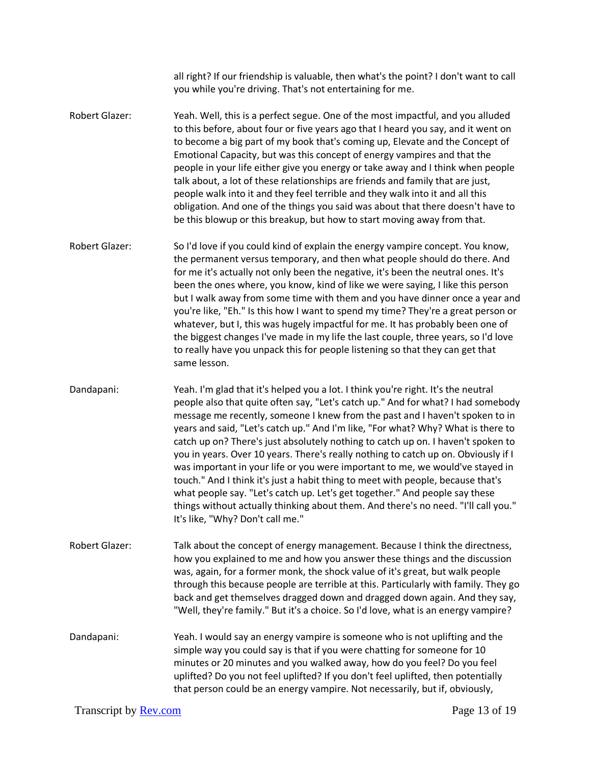all right? If our friendship is valuable, then what's the point? I don't want to call you while you're driving. That's not entertaining for me. Robert Glazer: Yeah. Well, this is a perfect segue. One of the most impactful, and you alluded to this before, about four or five years ago that I heard you say, and it went on to become a big part of my book that's coming up, Elevate and the Concept of Emotional Capacity, but was this concept of energy vampires and that the

people in your life either give you energy or take away and I think when people talk about, a lot of these relationships are friends and family that are just, people walk into it and they feel terrible and they walk into it and all this obligation. And one of the things you said was about that there doesn't have to be this blowup or this breakup, but how to start moving away from that.

Robert Glazer: So I'd love if you could kind of explain the energy vampire concept. You know, the permanent versus temporary, and then what people should do there. And for me it's actually not only been the negative, it's been the neutral ones. It's been the ones where, you know, kind of like we were saying, I like this person but I walk away from some time with them and you have dinner once a year and you're like, "Eh." Is this how I want to spend my time? They're a great person or whatever, but I, this was hugely impactful for me. It has probably been one of the biggest changes I've made in my life the last couple, three years, so I'd love to really have you unpack this for people listening so that they can get that same lesson.

Dandapani: Yeah. I'm glad that it's helped you a lot. I think you're right. It's the neutral people also that quite often say, "Let's catch up." And for what? I had somebody message me recently, someone I knew from the past and I haven't spoken to in years and said, "Let's catch up." And I'm like, "For what? Why? What is there to catch up on? There's just absolutely nothing to catch up on. I haven't spoken to you in years. Over 10 years. There's really nothing to catch up on. Obviously if I was important in your life or you were important to me, we would've stayed in touch." And I think it's just a habit thing to meet with people, because that's what people say. "Let's catch up. Let's get together." And people say these things without actually thinking about them. And there's no need. "I'll call you." It's like, "Why? Don't call me."

Robert Glazer: Talk about the concept of energy management. Because I think the directness, how you explained to me and how you answer these things and the discussion was, again, for a former monk, the shock value of it's great, but walk people through this because people are terrible at this. Particularly with family. They go back and get themselves dragged down and dragged down again. And they say, "Well, they're family." But it's a choice. So I'd love, what is an energy vampire?

Dandapani: Yeah. I would say an energy vampire is someone who is not uplifting and the simple way you could say is that if you were chatting for someone for 10 minutes or 20 minutes and you walked away, how do you feel? Do you feel uplifted? Do you not feel uplifted? If you don't feel uplifted, then potentially that person could be an energy vampire. Not necessarily, but if, obviously,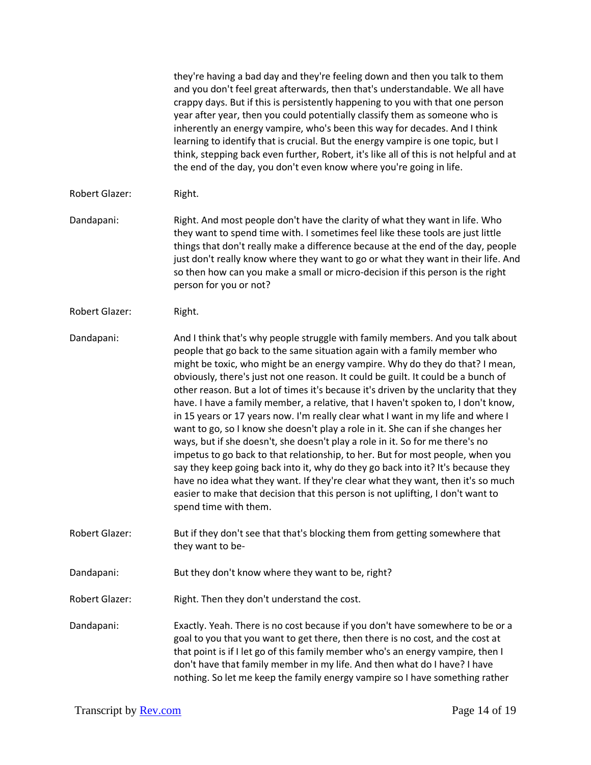|                       | they're having a bad day and they're feeling down and then you talk to them<br>and you don't feel great afterwards, then that's understandable. We all have<br>crappy days. But if this is persistently happening to you with that one person<br>year after year, then you could potentially classify them as someone who is<br>inherently an energy vampire, who's been this way for decades. And I think<br>learning to identify that is crucial. But the energy vampire is one topic, but I<br>think, stepping back even further, Robert, it's like all of this is not helpful and at<br>the end of the day, you don't even know where you're going in life.                                                                                                                                                                                                                                                                                                                                                                                                                                                                           |
|-----------------------|-------------------------------------------------------------------------------------------------------------------------------------------------------------------------------------------------------------------------------------------------------------------------------------------------------------------------------------------------------------------------------------------------------------------------------------------------------------------------------------------------------------------------------------------------------------------------------------------------------------------------------------------------------------------------------------------------------------------------------------------------------------------------------------------------------------------------------------------------------------------------------------------------------------------------------------------------------------------------------------------------------------------------------------------------------------------------------------------------------------------------------------------|
| Robert Glazer:        | Right.                                                                                                                                                                                                                                                                                                                                                                                                                                                                                                                                                                                                                                                                                                                                                                                                                                                                                                                                                                                                                                                                                                                                    |
| Dandapani:            | Right. And most people don't have the clarity of what they want in life. Who<br>they want to spend time with. I sometimes feel like these tools are just little<br>things that don't really make a difference because at the end of the day, people<br>just don't really know where they want to go or what they want in their life. And<br>so then how can you make a small or micro-decision if this person is the right<br>person for you or not?                                                                                                                                                                                                                                                                                                                                                                                                                                                                                                                                                                                                                                                                                      |
| Robert Glazer:        | Right.                                                                                                                                                                                                                                                                                                                                                                                                                                                                                                                                                                                                                                                                                                                                                                                                                                                                                                                                                                                                                                                                                                                                    |
| Dandapani:            | And I think that's why people struggle with family members. And you talk about<br>people that go back to the same situation again with a family member who<br>might be toxic, who might be an energy vampire. Why do they do that? I mean,<br>obviously, there's just not one reason. It could be guilt. It could be a bunch of<br>other reason. But a lot of times it's because it's driven by the unclarity that they<br>have. I have a family member, a relative, that I haven't spoken to, I don't know,<br>in 15 years or 17 years now. I'm really clear what I want in my life and where I<br>want to go, so I know she doesn't play a role in it. She can if she changes her<br>ways, but if she doesn't, she doesn't play a role in it. So for me there's no<br>impetus to go back to that relationship, to her. But for most people, when you<br>say they keep going back into it, why do they go back into it? It's because they<br>have no idea what they want. If they're clear what they want, then it's so much<br>easier to make that decision that this person is not uplifting, I don't want to<br>spend time with them. |
| <b>Robert Glazer:</b> | But if they don't see that that's blocking them from getting somewhere that<br>they want to be-                                                                                                                                                                                                                                                                                                                                                                                                                                                                                                                                                                                                                                                                                                                                                                                                                                                                                                                                                                                                                                           |
| Dandapani:            | But they don't know where they want to be, right?                                                                                                                                                                                                                                                                                                                                                                                                                                                                                                                                                                                                                                                                                                                                                                                                                                                                                                                                                                                                                                                                                         |
| <b>Robert Glazer:</b> | Right. Then they don't understand the cost.                                                                                                                                                                                                                                                                                                                                                                                                                                                                                                                                                                                                                                                                                                                                                                                                                                                                                                                                                                                                                                                                                               |
| Dandapani:            | Exactly. Yeah. There is no cost because if you don't have somewhere to be or a<br>goal to you that you want to get there, then there is no cost, and the cost at<br>that point is if I let go of this family member who's an energy vampire, then I<br>don't have that family member in my life. And then what do I have? I have<br>nothing. So let me keep the family energy vampire so I have something rather                                                                                                                                                                                                                                                                                                                                                                                                                                                                                                                                                                                                                                                                                                                          |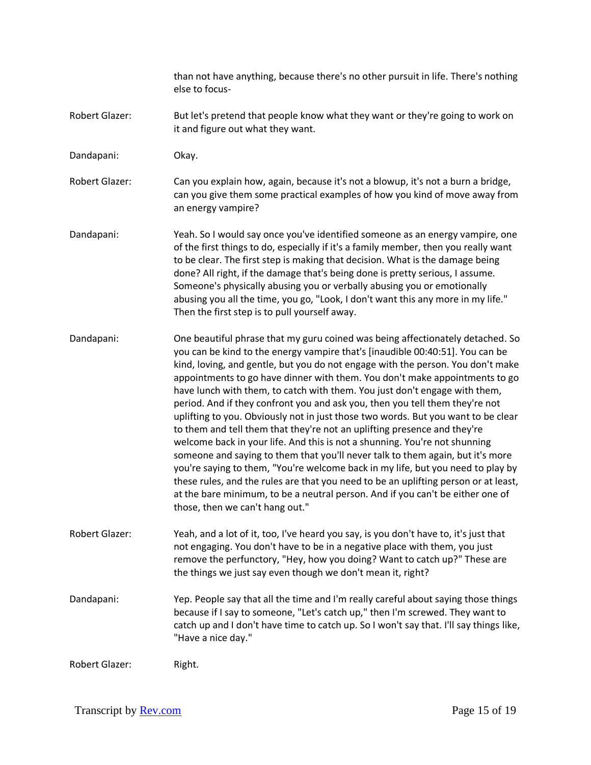than not have anything, because there's no other pursuit in life. There's nothing else to focus-

- Robert Glazer: But let's pretend that people know what they want or they're going to work on it and figure out what they want.
- Dandapani: Okay.

Robert Glazer: Can you explain how, again, because it's not a blowup, it's not a burn a bridge, can you give them some practical examples of how you kind of move away from an energy vampire?

- Dandapani: Yeah. So I would say once you've identified someone as an energy vampire, one of the first things to do, especially if it's a family member, then you really want to be clear. The first step is making that decision. What is the damage being done? All right, if the damage that's being done is pretty serious, I assume. Someone's physically abusing you or verbally abusing you or emotionally abusing you all the time, you go, "Look, I don't want this any more in my life." Then the first step is to pull yourself away.
- Dandapani: One beautiful phrase that my guru coined was being affectionately detached. So you can be kind to the energy vampire that's [inaudible 00:40:51]. You can be kind, loving, and gentle, but you do not engage with the person. You don't make appointments to go have dinner with them. You don't make appointments to go have lunch with them, to catch with them. You just don't engage with them, period. And if they confront you and ask you, then you tell them they're not uplifting to you. Obviously not in just those two words. But you want to be clear to them and tell them that they're not an uplifting presence and they're welcome back in your life. And this is not a shunning. You're not shunning someone and saying to them that you'll never talk to them again, but it's more you're saying to them, "You're welcome back in my life, but you need to play by these rules, and the rules are that you need to be an uplifting person or at least, at the bare minimum, to be a neutral person. And if you can't be either one of those, then we can't hang out."
- Robert Glazer: Yeah, and a lot of it, too, I've heard you say, is you don't have to, it's just that not engaging. You don't have to be in a negative place with them, you just remove the perfunctory, "Hey, how you doing? Want to catch up?" These are the things we just say even though we don't mean it, right?
- Dandapani: Yep. People say that all the time and I'm really careful about saying those things because if I say to someone, "Let's catch up," then I'm screwed. They want to catch up and I don't have time to catch up. So I won't say that. I'll say things like, "Have a nice day."

Robert Glazer: Right.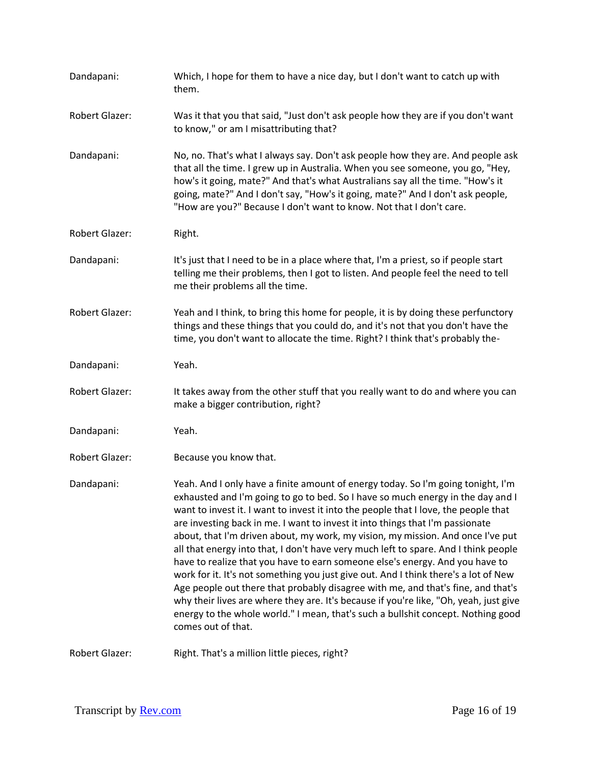| Dandapani:            | Which, I hope for them to have a nice day, but I don't want to catch up with<br>them.                                                                                                                                                                                                                                                                                                                                                                                                                                                                                                                                                                                                                                                                                                                                                                                                                                                                                               |
|-----------------------|-------------------------------------------------------------------------------------------------------------------------------------------------------------------------------------------------------------------------------------------------------------------------------------------------------------------------------------------------------------------------------------------------------------------------------------------------------------------------------------------------------------------------------------------------------------------------------------------------------------------------------------------------------------------------------------------------------------------------------------------------------------------------------------------------------------------------------------------------------------------------------------------------------------------------------------------------------------------------------------|
| Robert Glazer:        | Was it that you that said, "Just don't ask people how they are if you don't want<br>to know," or am I misattributing that?                                                                                                                                                                                                                                                                                                                                                                                                                                                                                                                                                                                                                                                                                                                                                                                                                                                          |
| Dandapani:            | No, no. That's what I always say. Don't ask people how they are. And people ask<br>that all the time. I grew up in Australia. When you see someone, you go, "Hey,<br>how's it going, mate?" And that's what Australians say all the time. "How's it<br>going, mate?" And I don't say, "How's it going, mate?" And I don't ask people,<br>"How are you?" Because I don't want to know. Not that I don't care.                                                                                                                                                                                                                                                                                                                                                                                                                                                                                                                                                                        |
| Robert Glazer:        | Right.                                                                                                                                                                                                                                                                                                                                                                                                                                                                                                                                                                                                                                                                                                                                                                                                                                                                                                                                                                              |
| Dandapani:            | It's just that I need to be in a place where that, I'm a priest, so if people start<br>telling me their problems, then I got to listen. And people feel the need to tell<br>me their problems all the time.                                                                                                                                                                                                                                                                                                                                                                                                                                                                                                                                                                                                                                                                                                                                                                         |
| Robert Glazer:        | Yeah and I think, to bring this home for people, it is by doing these perfunctory<br>things and these things that you could do, and it's not that you don't have the<br>time, you don't want to allocate the time. Right? I think that's probably the-                                                                                                                                                                                                                                                                                                                                                                                                                                                                                                                                                                                                                                                                                                                              |
| Dandapani:            | Yeah.                                                                                                                                                                                                                                                                                                                                                                                                                                                                                                                                                                                                                                                                                                                                                                                                                                                                                                                                                                               |
| <b>Robert Glazer:</b> | It takes away from the other stuff that you really want to do and where you can<br>make a bigger contribution, right?                                                                                                                                                                                                                                                                                                                                                                                                                                                                                                                                                                                                                                                                                                                                                                                                                                                               |
| Dandapani:            | Yeah.                                                                                                                                                                                                                                                                                                                                                                                                                                                                                                                                                                                                                                                                                                                                                                                                                                                                                                                                                                               |
| <b>Robert Glazer:</b> | Because you know that.                                                                                                                                                                                                                                                                                                                                                                                                                                                                                                                                                                                                                                                                                                                                                                                                                                                                                                                                                              |
| Dandapani:            | Yeah. And I only have a finite amount of energy today. So I'm going tonight, I'm<br>exhausted and I'm going to go to bed. So I have so much energy in the day and I<br>want to invest it. I want to invest it into the people that I love, the people that<br>are investing back in me. I want to invest it into things that I'm passionate<br>about, that I'm driven about, my work, my vision, my mission. And once I've put<br>all that energy into that, I don't have very much left to spare. And I think people<br>have to realize that you have to earn someone else's energy. And you have to<br>work for it. It's not something you just give out. And I think there's a lot of New<br>Age people out there that probably disagree with me, and that's fine, and that's<br>why their lives are where they are. It's because if you're like, "Oh, yeah, just give<br>energy to the whole world." I mean, that's such a bullshit concept. Nothing good<br>comes out of that. |
| <b>Robert Glazer:</b> | Right. That's a million little pieces, right?                                                                                                                                                                                                                                                                                                                                                                                                                                                                                                                                                                                                                                                                                                                                                                                                                                                                                                                                       |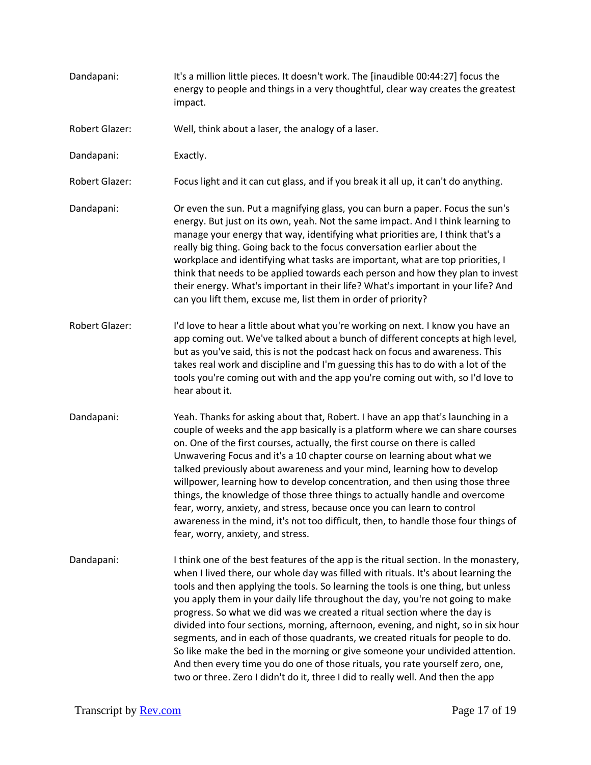Dandapani: It's a million little pieces. It doesn't work. The [inaudible 00:44:27] focus the energy to people and things in a very thoughtful, clear way creates the greatest impact. Robert Glazer: Well, think about a laser, the analogy of a laser. Dandapani: Exactly. Robert Glazer: Focus light and it can cut glass, and if you break it all up, it can't do anything. Dandapani: Or even the sun. Put a magnifying glass, you can burn a paper. Focus the sun's energy. But just on its own, yeah. Not the same impact. And I think learning to manage your energy that way, identifying what priorities are, I think that's a really big thing. Going back to the focus conversation earlier about the workplace and identifying what tasks are important, what are top priorities, I think that needs to be applied towards each person and how they plan to invest their energy. What's important in their life? What's important in your life? And can you lift them, excuse me, list them in order of priority? Robert Glazer: I'd love to hear a little about what you're working on next. I know you have an app coming out. We've talked about a bunch of different concepts at high level, but as you've said, this is not the podcast hack on focus and awareness. This takes real work and discipline and I'm guessing this has to do with a lot of the tools you're coming out with and the app you're coming out with, so I'd love to hear about it. Dandapani: Yeah. Thanks for asking about that, Robert. I have an app that's launching in a couple of weeks and the app basically is a platform where we can share courses on. One of the first courses, actually, the first course on there is called Unwavering Focus and it's a 10 chapter course on learning about what we talked previously about awareness and your mind, learning how to develop willpower, learning how to develop concentration, and then using those three things, the knowledge of those three things to actually handle and overcome fear, worry, anxiety, and stress, because once you can learn to control awareness in the mind, it's not too difficult, then, to handle those four things of fear, worry, anxiety, and stress. Dandapani: I think one of the best features of the app is the ritual section. In the monastery, when I lived there, our whole day was filled with rituals. It's about learning the tools and then applying the tools. So learning the tools is one thing, but unless you apply them in your daily life throughout the day, you're not going to make progress. So what we did was we created a ritual section where the day is divided into four sections, morning, afternoon, evening, and night, so in six hour segments, and in each of those quadrants, we created rituals for people to do. So like make the bed in the morning or give someone your undivided attention. And then every time you do one of those rituals, you rate yourself zero, one, two or three. Zero I didn't do it, three I did to really well. And then the app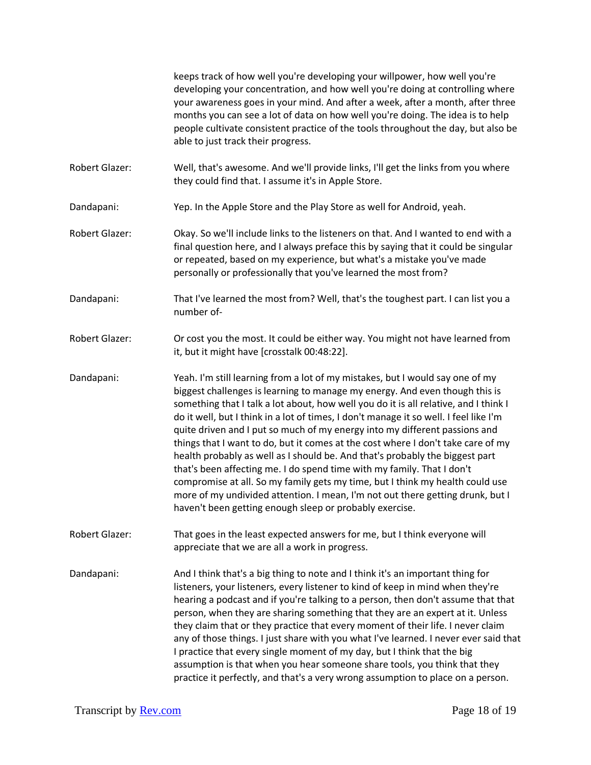keeps track of how well you're developing your willpower, how well you're developing your concentration, and how well you're doing at controlling where your awareness goes in your mind. And after a week, after a month, after three months you can see a lot of data on how well you're doing. The idea is to help people cultivate consistent practice of the tools throughout the day, but also be able to just track their progress.

- Robert Glazer: Well, that's awesome. And we'll provide links, I'll get the links from you where they could find that. I assume it's in Apple Store.
- Dandapani: Yep. In the Apple Store and the Play Store as well for Android, yeah.
- Robert Glazer: Okay. So we'll include links to the listeners on that. And I wanted to end with a final question here, and I always preface this by saying that it could be singular or repeated, based on my experience, but what's a mistake you've made personally or professionally that you've learned the most from?
- Dandapani: That I've learned the most from? Well, that's the toughest part. I can list you a number of-
- Robert Glazer: Or cost you the most. It could be either way. You might not have learned from it, but it might have [crosstalk 00:48:22].
- Dandapani: Yeah. I'm still learning from a lot of my mistakes, but I would say one of my biggest challenges is learning to manage my energy. And even though this is something that I talk a lot about, how well you do it is all relative, and I think I do it well, but I think in a lot of times, I don't manage it so well. I feel like I'm quite driven and I put so much of my energy into my different passions and things that I want to do, but it comes at the cost where I don't take care of my health probably as well as I should be. And that's probably the biggest part that's been affecting me. I do spend time with my family. That I don't compromise at all. So my family gets my time, but I think my health could use more of my undivided attention. I mean, I'm not out there getting drunk, but I haven't been getting enough sleep or probably exercise.
- Robert Glazer: That goes in the least expected answers for me, but I think everyone will appreciate that we are all a work in progress.
- Dandapani: And I think that's a big thing to note and I think it's an important thing for listeners, your listeners, every listener to kind of keep in mind when they're hearing a podcast and if you're talking to a person, then don't assume that that person, when they are sharing something that they are an expert at it. Unless they claim that or they practice that every moment of their life. I never claim any of those things. I just share with you what I've learned. I never ever said that I practice that every single moment of my day, but I think that the big assumption is that when you hear someone share tools, you think that they practice it perfectly, and that's a very wrong assumption to place on a person.